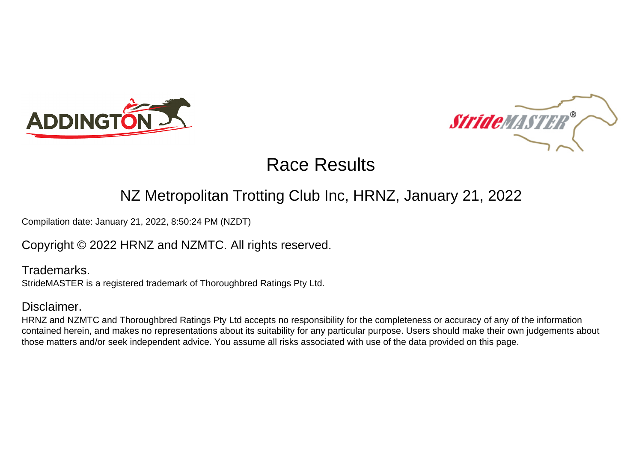



### NZ Metropolitan Trotting Club Inc, HRNZ, January 21, 2022

Compilation date: January 21, 2022, 8:50:24 PM (NZDT)

### Copyright © 2022 HRNZ and NZMTC. All rights reserved.

Trademarks. StrideMASTER is a registered trademark of Thoroughbred Ratings Pty Ltd.

### Disclaimer.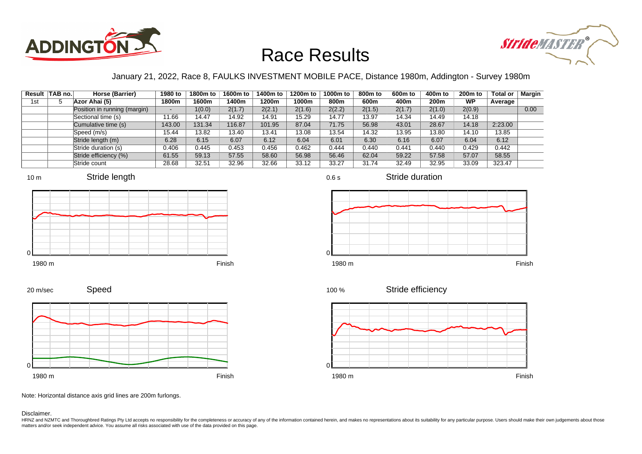



### January 21, 2022, Race 8, FAULKS INVESTMENT MOBILE PACE, Distance 1980m, Addington - Survey 1980m

|     | Result TAB no. | Horse (Barrier)              | 1980 to | 1800m to | 1600m to | 1400m to | 1200m to | 1000m to | 800m to | 600 <sub>m</sub> to | 400m to | 200 <sub>m</sub> to | <b>Total or</b> | Margin |
|-----|----------------|------------------------------|---------|----------|----------|----------|----------|----------|---------|---------------------|---------|---------------------|-----------------|--------|
| 1st |                | Azor Ahai (5)                | 1800m   | 1600m    | 1400m    | 1200m    | 1000m    | 800m     | 600m    | 400m                | 200m    | <b>WP</b>           | Average         |        |
|     |                | Position in running (margin) | -       | 1(0.0)   | 2(1.7)   | 2(2.1)   | 2(1.6)   | 2(2.2)   | 2(1.5)  | 2(1.7)              | 2(1.0)  | 2(0.9)              |                 | 0.00   |
|     |                | Sectional time (s)           | 11.66   | 14.47    | 14.92    | 14.91    | 15.29    | 14.77    | 13.97   | 14.34               | 14.49   | 14.18               |                 |        |
|     |                | Cumulative time (s)          | 143.00  | 131.34   | 116.87   | 101.95   | 87.04    | 71.75    | 56.98   | 43.01               | 28.67   | 14.18               | 2:23.00         |        |
|     |                | Speed (m/s)                  | 15.44   | 13.82    | 13.40    | 13.41    | 13.08    | 13.54    | 14.32   | 13.95               | 13.80   | 14.10               | 13.85           |        |
|     |                | Stride length (m)            | 6.28    | 6.15     | 6.07     | 6.12     | 6.04     | 6.01     | 6.30    | 6.16                | 6.07    | 6.04                | 6.12            |        |
|     |                | Stride duration (s)          | 0.406   | 0.445    | 0.453    | 0.456    | 0.462    | 0.444    | 0.440   | 0.441               | 0.440   | 0.429               | 0.442           |        |
|     |                | Stride efficiency (%)        | 61.55   | 59.13    | 57.55    | 58.60    | 56.98    | 56.46    | 62.04   | 59.22               | 57.58   | 57.07               | 58.55           |        |
|     |                | Stride count                 | 28.68   | 32.51    | 32.96    | 32.66    | 33.12    | 33.27    | 31.74   | 32.49               | 32.95   | 33.09               | 323.47          |        |







Stride duration







Speed 20 m/sec



Note: Horizontal distance axis grid lines are 200m furlongs.

Disclaimer.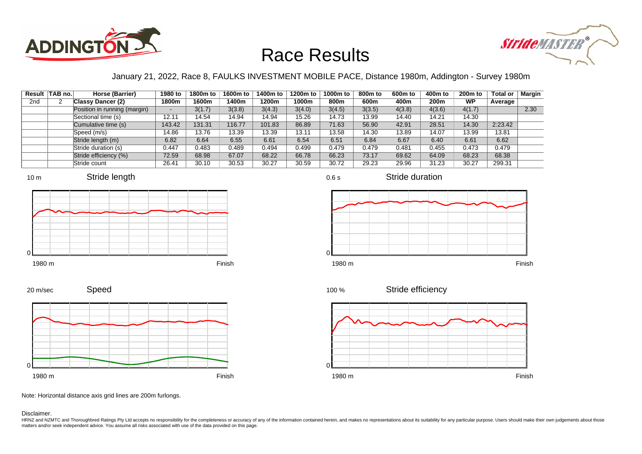



### January 21, 2022, Race 8, FAULKS INVESTMENT MOBILE PACE, Distance 1980m, Addington - Survey 1980m

|                 | Result   TAB no. | Horse (Barrier)              | 1980 to                  | 1800m to | 1600m to | 1400m to | 1200m to | 1000m to | 800m to | 600 <sub>m</sub> to | 400m to          | 200 <sub>m</sub> to | <b>Total or</b> | Margin |
|-----------------|------------------|------------------------------|--------------------------|----------|----------|----------|----------|----------|---------|---------------------|------------------|---------------------|-----------------|--------|
| 2 <sub>nd</sub> |                  | <b>Classy Dancer (2)</b>     | 1800m                    | 1600m    | 1400m    | 1200m    | 1000m    | 800m     | 600m    | 400m                | 200 <sub>m</sub> | <b>WP</b>           | Average         |        |
|                 |                  | Position in running (margin) | $\overline{\phantom{a}}$ | 3(1.7)   | 3(3.8)   | 3(4.3)   | 3(4.0)   | 3(4.5)   | 3(3.5)  | 4(3.8)              | 4(3.6)           | 4(1.7)              |                 | 2.30   |
|                 |                  | Sectional time (s)           | 12.11                    | 14.54    | 14.94    | 14.94    | 15.26    | 14.73    | 13.99   | 14.40               | 14.21            | 14.30               |                 |        |
|                 |                  | Cumulative time (s)          | 143.42                   | 131.31   | 116.77   | 101.83   | 86.89    | 71.63    | 56.90   | 42.91               | 28.51            | 14.30               | 2:23.42         |        |
|                 |                  | Speed (m/s)                  | 14.86                    | 13.76    | 13.39    | 13.39    | 13.11    | 13.58    | 14.30   | 13.89               | 14.07            | 13.99               | 13.81           |        |
|                 |                  | Stride length (m)            | 6.82                     | 6.64     | 6.55     | 6.61     | 6.54     | 6.51     | 6.84    | 6.67                | 6.40             | 6.61                | 6.62            |        |
|                 |                  | Stride duration (s)          | 0.447                    | 0.483    | 0.489    | 0.494    | 0.499    | 0.479    | 0.479   | 0.481               | 0.455            | 0.473               | 0.479           |        |
|                 |                  | Stride efficiency (%)        | 72.59                    | 68.98    | 67.07    | 68.22    | 66.78    | 66.23    | 73.17   | 69.62               | 64.09            | 68.23               | 68.38           |        |
|                 |                  | Stride count                 | 26.41                    | 30.10    | 30.53    | 30.27    | 30.59    | 30.72    | 29.23   | 29.96               | 31.23            | 30.27               | 299.31          |        |











0.6 s

Stride duration



Stride efficiency 100 %



Note: Horizontal distance axis grid lines are 200m furlongs.

#### Disclaimer.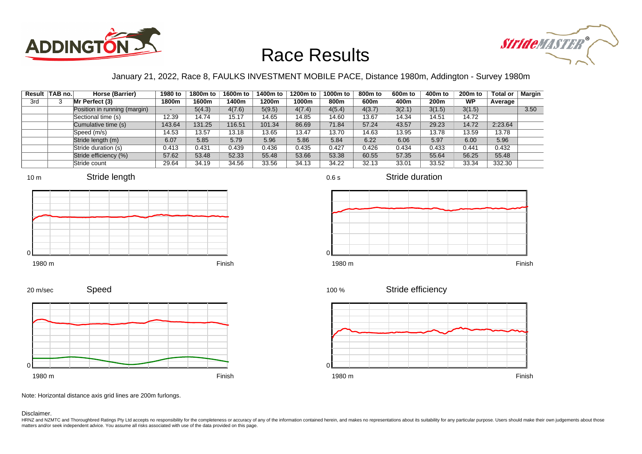



### January 21, 2022, Race 8, FAULKS INVESTMENT MOBILE PACE, Distance 1980m, Addington - Survey 1980m

|     | Result TAB no. | Horse (Barrier)              | 1980 to | 1800m to | 1600m to | 1400m to | 1200m to | 1000m to | 800m to | 600 <sub>m</sub> to | 400m to | 200 <sub>m</sub> to | <b>Total or</b> | Margin |
|-----|----------------|------------------------------|---------|----------|----------|----------|----------|----------|---------|---------------------|---------|---------------------|-----------------|--------|
| 3rd |                | Mr Perfect (3)               | 1800m   | 1600m    | 1400m    | 1200m    | 1000m    | 800m     | 600m    | 400m                | 200m    | <b>WP</b>           | Average         |        |
|     |                | Position in running (margin) | $\sim$  | 5(4.3)   | 4(7.6)   | 5(9.5)   | 4(7.4)   | 4(5.4)   | 4(3.7)  | 3(2.1)              | 3(1.5)  | 3(1.5)              |                 | 3.50   |
|     |                | Sectional time (s)           | 12.39   | 14.74    | 15.17    | 14.65    | 14.85    | 14.60    | 13.67   | 14.34               | 14.51   | 14.72               |                 |        |
|     |                | Cumulative time (s)          | 143.64  | 131.25   | 116.51   | 101.34   | 86.69    | 71.84    | 57.24   | 43.57               | 29.23   | 14.72               | 2:23.64         |        |
|     |                | Speed (m/s)                  | 14.53   | 13.57    | 13.18    | 13.65    | 13.47    | 13.70    | 14.63   | 13.95               | 13.78   | 13.59               | 13.78           |        |
|     |                | Stride length (m)            | 6.07    | 5.85     | 5.79     | 5.96     | 5.86     | 5.84     | 6.22    | 6.06                | 5.97    | 6.00                | 5.96            |        |
|     |                | Stride duration (s)          | 0.413   | 0.431    | 0.439    | 0.436    | 0.435    | 0.427    | 0.426   | 0.434               | 0.433   | 0.441               | 0.432           |        |
|     |                | Stride efficiency (%)        | 57.62   | 53.48    | 52.33    | 55.48    | 53.66    | 53.38    | 60.55   | 57.35               | 55.64   | 56.25               | 55.48           |        |
|     |                | Stride count                 | 29.64   | 34.19    | 34.56    | 33.56    | 34.13    | 34.22    | 32.13   | 33.01               | 33.52   | 33.34               | 332.30          |        |







Stride duration





Speed







Note: Horizontal distance axis grid lines are 200m furlongs.

#### Disclaimer.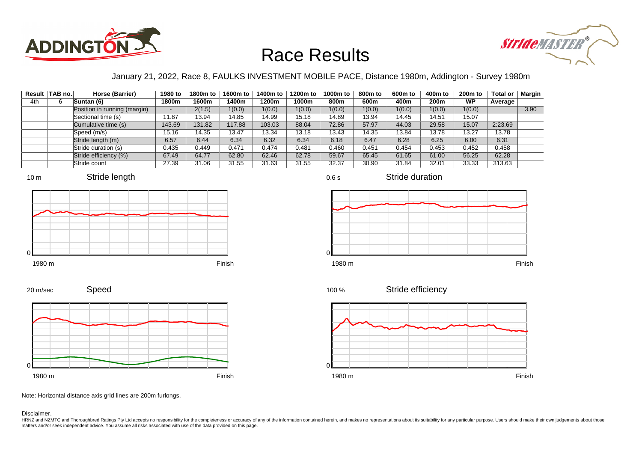



### January 21, 2022, Race 8, FAULKS INVESTMENT MOBILE PACE, Distance 1980m, Addington - Survey 1980m

0.6 s

|     | Result   TAB no. | Horse (Barrier)              | 1980 to                  | 1800m to | 1600m to | 1400m to | 1200m to | 1000m to | 800m to | 600 <sub>m</sub> to | 400m to          | 200 <sub>m</sub> to | <b>Total or</b> | Margin |
|-----|------------------|------------------------------|--------------------------|----------|----------|----------|----------|----------|---------|---------------------|------------------|---------------------|-----------------|--------|
| 4th |                  | Suntan (6)                   | 1800m                    | 1600m    | 1400m    | 1200m    | 1000m    | 800m     | 600m    | 400m                | 200 <sub>m</sub> | <b>WP</b>           | Average         |        |
|     |                  | Position in running (margin) | $\overline{\phantom{a}}$ | 2(1.5)   | 1(0.0)   | 1(0.0)   | 1(0.0)   | 1(0.0)   | 1(0.0)  | 1(0.0)              | 1(0.0)           | 1(0.0)              |                 | 3.90   |
|     |                  | Sectional time (s)           | 11.87                    | 13.94    | 14.85    | 14.99    | 15.18    | 14.89    | 13.94   | 14.45               | 14.51            | 15.07               |                 |        |
|     |                  | Cumulative time (s)          | 143.69                   | 131.82   | 117.88   | 103.03   | 88.04    | 72.86    | 57.97   | 44.03               | 29.58            | 15.07               | 2:23.69         |        |
|     |                  | Speed (m/s)                  | 15.16                    | 14.35    | 13.47    | 13.34    | 13.18    | 13.43    | 14.35   | 13.84               | 13.78            | 13.27               | 13.78           |        |
|     |                  | Stride length (m)            | 6.57                     | 6.44     | 6.34     | 6.32     | 6.34     | 6.18     | 6.47    | 6.28                | 6.25             | 6.00                | 6.31            |        |
|     |                  | Stride duration (s)          | 0.435                    | 0.449    | 0.471    | 0.474    | 0.481    | 0.460    | 0.451   | 0.454               | 0.453            | 0.452               | 0.458           |        |
|     |                  | Stride efficiency (%)        | 67.49                    | 64.77    | 62.80    | 62.46    | 62.78    | 59.67    | 65.45   | 61.65               | 61.00            | 56.25               | 62.28           |        |
|     |                  | Stride count                 | 27.39                    | 31.06    | 31.55    | 31.63    | 31.55    | 32.37    | 30.90   | 31.84               | 32.01            | 33.33               | 313.63          |        |







Stride duration



Stride efficiency 100 %



Speed 20 m/sec



Note: Horizontal distance axis grid lines are 200m furlongs.

Disclaimer.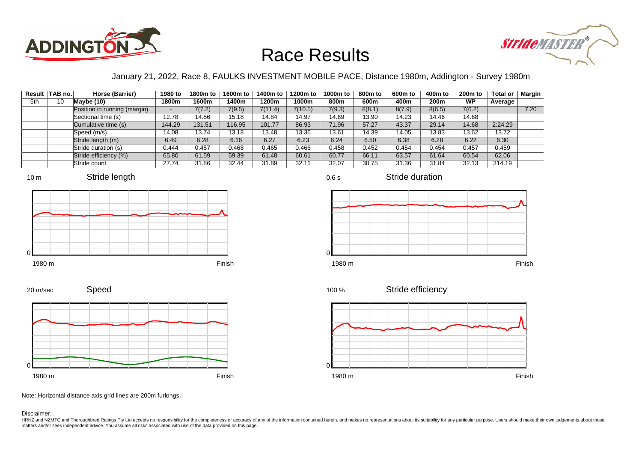



### January 21, 2022, Race 8, FAULKS INVESTMENT MOBILE PACE, Distance 1980m, Addington - Survey 1980m

|     | Result TAB no. | Horse (Barrier)              | 1980 to | 1800m to | 1600m to | 1400m to | 1200m to | 1000m to | 800m to | 600 <sub>m</sub> to | 400m to | 200 <sub>m</sub> to | <b>Total or</b> | Margin |
|-----|----------------|------------------------------|---------|----------|----------|----------|----------|----------|---------|---------------------|---------|---------------------|-----------------|--------|
| 5th | 10             | Maybe (10)                   | 1800m   | 1600m    | 1400m    | 1200m    | 1000m    | 800m     | 600m    | 400m                | 200m    | <b>WP</b>           | Average         |        |
|     |                | Position in running (margin) | $\sim$  | 7(7.2)   | 7(9.5)   | 7(11.4)  | 7(10.5)  | 7(9.3)   | 8(8.1)  | 8(7.9)              | 8(6.5)  | 7(6.2)              |                 | 7.20   |
|     |                | Sectional time (s)           | 12.78   | 14.56    | 15.18    | 14.84    | 14.97    | 14.69    | 13.90   | 14.23               | 14.46   | 14.68               |                 |        |
|     |                | Cumulative time (s)          | 144.29  | 131.51   | 116.95   | 101.77   | 86.93    | 71.96    | 57.27   | 43.37               | 29.14   | 14.68               | 2:24.29         |        |
|     |                | Speed (m/s)                  | 14.08   | 13.74    | 13.18    | 13.48    | 13.36    | 13.61    | 14.39   | 14.05               | 13.83   | 13.62               | 13.72           |        |
|     |                | Stride length (m)            | 6.49    | 6.28     | 6.16     | 6.27     | 6.23     | 6.24     | 6.50    | 6.38                | 6.28    | 6.22                | 6.30            |        |
|     |                | Stride duration (s)          | 0.444   | 0.457    | 0.468    | 0.465    | 0.466    | 0.458    | 0.452   | 0.454               | 0.454   | 0.457               | 0.459           |        |
|     |                | Stride efficiency (%)        | 65.80   | 61.59    | 59.39    | 61.48    | 60.61    | 60.77    | 66.11   | 63.57               | 61.64   | 60.54               | 62.06           |        |
|     |                | Stride count                 | 27.74   | 31.86    | 32.44    | 31.89    | 32.11    | 32.07    | 30.75   | 31.36               | 31.84   | 32.13               | 314.19          |        |







Stride duration





Stride efficiency



Speed 20 m/sec



Note: Horizontal distance axis grid lines are 200m furlongs.

#### Disclaimer.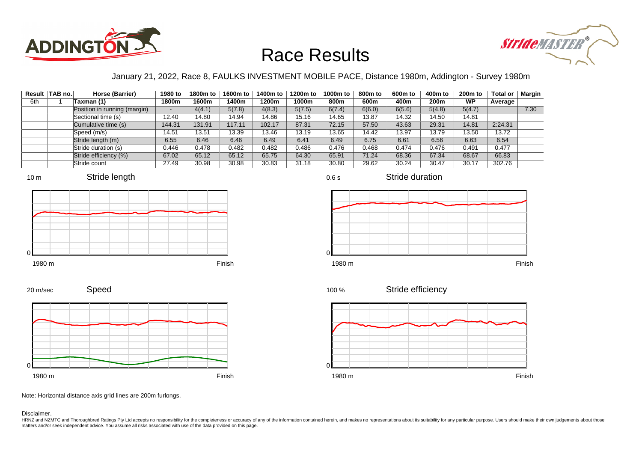



### January 21, 2022, Race 8, FAULKS INVESTMENT MOBILE PACE, Distance 1980m, Addington - Survey 1980m

0.6 s

|     | Result TAB no. | Horse (Barrier)              | 1980 to                  | 1800m to | 1600m to | 1400m to | 1200m to | 1000m to | 800m to | 600 <sub>m</sub> to | 400m to | 200 <sub>m</sub> to | <b>Total or</b> | Margin |
|-----|----------------|------------------------------|--------------------------|----------|----------|----------|----------|----------|---------|---------------------|---------|---------------------|-----------------|--------|
| 6th |                | Taxman (1)                   | 1800m                    | 1600m    | 1400m    | 1200m    | 1000m    | 800m     | 600m    | 400m                | 200m    | <b>WP</b>           | Average         |        |
|     |                | Position in running (margin) | $\overline{\phantom{0}}$ | 4(4.1)   | 5(7.8)   | 4(8.3)   | 5(7.5)   | 6(7.4)   | 6(6.0)  | 6(5.6)              | 5(4.8)  | 5(4.7)              |                 | 7.30   |
|     |                | Sectional time (s)           | 12.40                    | 14.80    | 14.94    | 14.86    | 15.16    | 14.65    | 13.87   | 14.32               | 14.50   | 14.81               |                 |        |
|     |                | Cumulative time (s)          | 144.31                   | 131.91   | 117.11   | 102.17   | 87.31    | 72.15    | 57.50   | 43.63               | 29.31   | 14.81               | 2:24.31         |        |
|     |                | Speed (m/s)                  | 14.51                    | 13.51    | 13.39    | 13.46    | 13.19    | 13.65    | 14.42   | 13.97               | 13.79   | 13.50               | 13.72           |        |
|     |                | Stride length (m)            | 6.55                     | 6.46     | 6.46     | 6.49     | 6.41     | 6.49     | 6.75    | 6.61                | 6.56    | 6.63                | 6.54            |        |
|     |                | Stride duration (s)          | 0.446                    | 0.478    | 0.482    | 0.482    | 0.486    | 0.476    | 0.468   | 0.474               | 0.476   | 0.491               | 0.477           |        |
|     |                | Stride efficiency (%)        | 67.02                    | 65.12    | 65.12    | 65.75    | 64.30    | 65.91    | 71.24   | 68.36               | 67.34   | 68.67               | 66.83           |        |
|     |                | Stride count                 | 27.49                    | 30.98    | 30.98    | 30.83    | 31.18    | 30.80    | 29.62   | 30.24               | 30.47   | 30.17               | 302.76          |        |







Stride duration













Note: Horizontal distance axis grid lines are 200m furlongs.

Disclaimer.

0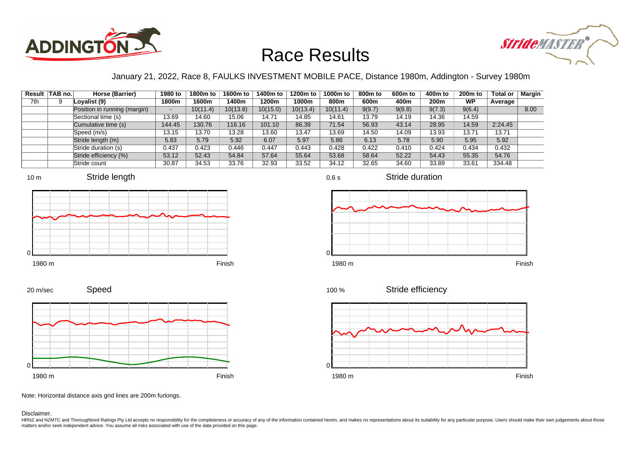



### January 21, 2022, Race 8, FAULKS INVESTMENT MOBILE PACE, Distance 1980m, Addington - Survey 1980m

|     | Result TAB no. | Horse (Barrier)              | 1980 to | 1800m to | 1600m to | 1400m to | 1200m to | 1000m to | 800m to | 600 <sub>m</sub> to | 400m to | 200 <sub>m</sub> to | <b>Total or</b> | Margin |
|-----|----------------|------------------------------|---------|----------|----------|----------|----------|----------|---------|---------------------|---------|---------------------|-----------------|--------|
| 7th |                | Lovalist (9)                 | 1800m   | 1600m    | 1400m    | 1200m    | 1000m    | 800m     | 600m    | 400m                | 200m    | <b>WP</b>           | Average         |        |
|     |                | Position in running (margin) | -       | 10(11.4) | 10(13.8) | 10(15.0) | 10(13.4) | 10(11.4) | 9(9.7)  | 9(8.8)              | 9(7.3)  | 9(6.4)              |                 | 8.00   |
|     |                | Sectional time (s)           | 13.69   | 14.60    | 15.06    | 14.71    | 14.85    | 14.61    | 13.79   | 14.19               | 14.36   | 14.59               |                 |        |
|     |                | Cumulative time (s)          | 144.45  | 130.76   | 116.16   | 101.10   | 86.39    | 71.54    | 56.93   | 43.14               | 28.95   | 14.59               | 2:24.45         |        |
|     |                | Speed (m/s)                  | 13.15   | 13.70    | 13.28    | 13.60    | 13.47    | 13.69    | 14.50   | 14.09               | 13.93   | 13.71               | 13.71           |        |
|     |                | Stride length (m)            | 5.83    | 5.79     | 5.92     | 6.07     | 5.97     | 5.86     | 6.13    | 5.78                | 5.90    | 5.95                | 5.92            |        |
|     |                | Stride duration (s)          | 0.437   | 0.423    | 0.446    | 0.447    | 0.443    | 0.428    | 0.422   | 0.410               | 0.424   | 0.434               | 0.432           |        |
|     |                | Stride efficiency (%)        | 53.12   | 52.43    | 54.84    | 57.64    | 55.64    | 53.68    | 58.64   | 52.22               | 54.43   | 55.35               | 54.76           |        |
|     |                | Stride count                 | 30.87   | 34.53    | 33.76    | 32.93    | 33.52    | 34.12    | 32.65   | 34.60               | 33.89   | 33.61               | 334.48          |        |







0.6 s



Stride duration







Stride efficiency 100 %



Note: Horizontal distance axis grid lines are 200m furlongs.

#### Disclaimer.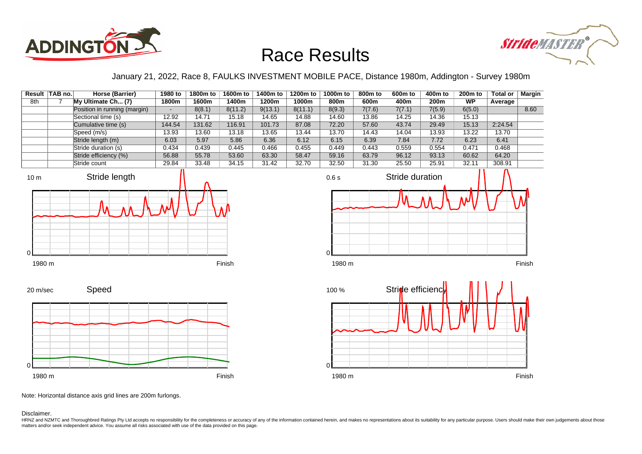



#### January 21, 2022, Race 8, FAULKS INVESTMENT MOBILE PACE, Distance 1980m, Addington - Survey 1980m

|     | Result TAB no. | Horse (Barrier)              | 1980 to                  | 1800m to | 1600m to | 1400m to | 1200m to | 1000m to | 800m to | 600m to | 400m to          | 200 <sub>m</sub> to | <b>Total or</b> | Margin |
|-----|----------------|------------------------------|--------------------------|----------|----------|----------|----------|----------|---------|---------|------------------|---------------------|-----------------|--------|
| 8th |                | My Ultimate Ch (7)           | 1800m                    | 1600m    | 1400m    | 1200m    | 1000m    | 800m     | 600m    | 400m    | 200 <sub>m</sub> | <b>WP</b>           | Average         |        |
|     |                | Position in running (margin) | $\overline{\phantom{0}}$ | 8(8.1)   | 8(11.2)  | 9(13.1)  | 8(11.1)  | 8(9.3)   | 7(7.6)  | 7(7.1)  | 7(5.9)           | 6(5.0)              |                 | 8.60   |
|     |                | Sectional time (s)           | 12.92                    | 14.71    | 15.18    | 14.65    | 14.88    | 14.60    | 13.86   | 14.25   | 14.36            | 15.13               |                 |        |
|     |                | Cumulative time (s)          | 144.54                   | 131.62   | 116.91   | 101.73   | 87.08    | 72.20    | 57.60   | 43.74   | 29.49            | 15.13               | 2:24.54         |        |
|     |                | Speed (m/s)                  | 13.93                    | 13.60    | 13.18    | 13.65    | 13.44    | 13.70    | 14.43   | 14.04   | 13.93            | 13.22               | 13.70           |        |
|     |                | Stride length (m)            | 6.03                     | 5.97     | 5.86     | 6.36     | 6.12     | 6.15     | 6.39    | 7.84    | 7.72             | 6.23                | 6.41            |        |
|     |                | Stride duration (s)          | 0.434                    | 0.439    | 0.445    | 0.466    | 0.455    | 0.449    | 0.443   | 0.559   | 0.554            | 0.471               | 0.468           |        |
|     |                | Stride efficiency (%)        | 56.88                    | 55.78    | 53.60    | 63.30    | 58.47    | 59.16    | 63.79   | 96.12   | 93.13            | 60.62               | 64.20           |        |
|     |                | Stride count                 | 29.84                    | 33.48    | 34.15    | 31.42    | 32.70    | 32.50    | 31.30   | 25.50   | 25.91            | 32.11               | 308.91          |        |







Speed 20 m/sec



Note: Horizontal distance axis grid lines are 200m furlongs.

Disclaimer.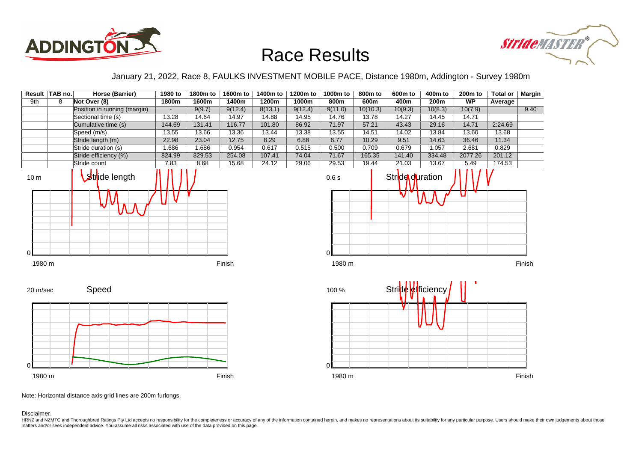



#### January 21, 2022, Race 8, FAULKS INVESTMENT MOBILE PACE, Distance 1980m, Addington - Survey 1980m



Note: Horizontal distance axis grid lines are 200m furlongs.

Disclaimer.